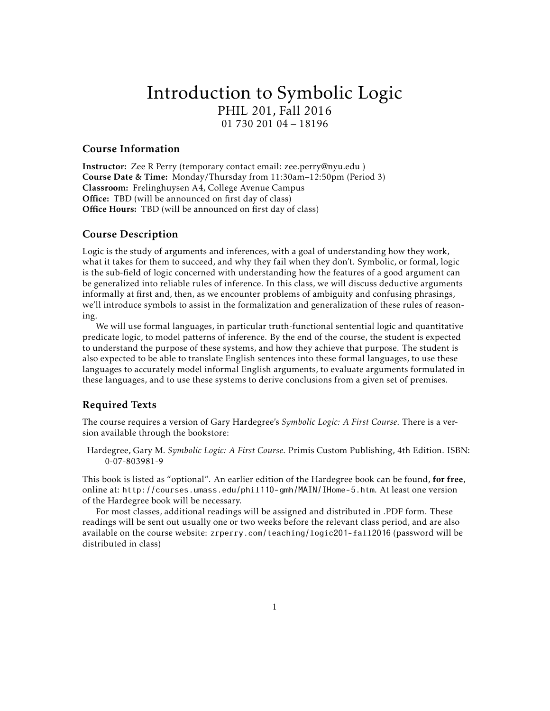# Introduction to Symbolic Logic PHIL 201, Fall 2016 01 730 201 04 – 18196

### Course Information

Instructor: Zee R Perry (temporary contact email: zee.perry@nyu.edu ) Course Date & Time: Monday/Thursday from 11:30am–12:50pm (Period 3) Classroom: Frelinghuysen A4, College Avenue Campus Office: TBD (will be announced on first day of class) Office Hours: TBD (will be announced on first day of class)

## Course Description

Logic is the study of arguments and inferences, with a goal of understanding how they work, what it takes for them to succeed, and why they fail when they don't. Symbolic, or formal, logic is the sub-field of logic concerned with understanding how the features of a good argument can be generalized into reliable rules of inference. In this class, we will discuss deductive arguments informally at first and, then, as we encounter problems of ambiguity and confusing phrasings, we'll introduce symbols to assist in the formalization and generalization of these rules of reasoning.

We will use formal languages, in particular truth-functional sentential logic and quantitative predicate logic, to model patterns of inference. By the end of the course, the student is expected to understand the purpose of these systems, and how they achieve that purpose. The student is also expected to be able to translate English sentences into these formal languages, to use these languages to accurately model informal English arguments, to evaluate arguments formulated in these languages, and to use these systems to derive conclusions from a given set of premises.

# Required Texts

The course requires a version of Gary Hardegree's *Symbolic Logic: A First Course*. There is a version available through the bookstore:

Hardegree, Gary M. *Symbolic Logic: A First Course*. Primis Custom Publishing, 4th Edition. ISBN: 0-07-803981-9

This book is listed as "optional". An earlier edition of the Hardegree book can be found, for free, online at: http://courses.umass.edu/phil110-gmh/MAIN/IHome-5.htm. At least one version of the Hardegree book will be necessary.

For most classes, additional readings will be assigned and distributed in .PDF form. These readings will be sent out usually one or two weeks before the relevant class period, and are also available on the course website: zrperry.com/teaching/logic201-fall2016 (password will be distributed in class)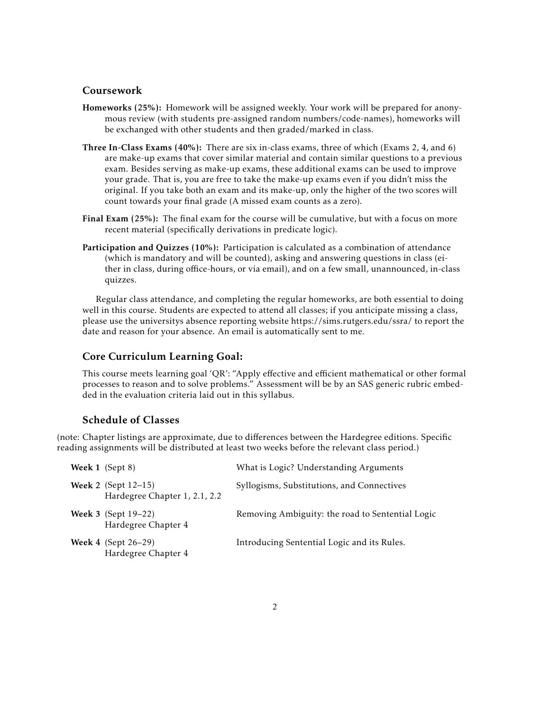## Coursework

- Homeworks (25%): Homework will be assigned weekly. Your work will be prepared for anonymous review (with students pre-assigned random numbers/code-names), homeworks will be exchanged with other students and then graded/marked in class.
- Three In-Class Exams (40%): There are six in-class exams, three of which (Exams 2, 4, and 6) are make-up exams that cover similar material and contain similar questions to a previous exam. Besides serving as make-up exams, these additional exams can be used to improve your grade. That is, you are free to take the make-up exams even if you didn't miss the original. If you take both an exam and its make-up, only the higher of the two scores will count towards your final grade (A missed exam counts as a zero).
- Final Exam (25%): The final exam for the course will be cumulative, but with a focus on more recent material (specifically derivations in predicate logic).
- Participation and Quizzes (10%): Participation is calculated as a combination of attendance (which is mandatory and will be counted), asking and answering questions in class (either in class, during office-hours, or via email), and on a few small, unannounced, in-class quizzes.

Regular class attendance, and completing the regular homeworks, are both essential to doing well in this course. Students are expected to attend all classes; if you anticipate missing a class, please use the universitys absence reporting website https://sims.rutgers.edu/ssra/ to report the date and reason for your absence. An email is automatically sent to me.

## Core Curriculum Learning Goal:

This course meets learning goal 'QR': "Apply effective and efficient mathematical or other formal processes to reason and to solve problems." Assessment will be by an SAS generic rubric embedded in the evaluation criteria laid out in this syllabus.

## Schedule of Classes

(note: Chapter listings are approximate, due to differences between the Hardegree editions. Specific reading assignments will be distributed at least two weeks before the relevant class period.)

| Week 1 (Sept 8)                                                | What is Logic? Understanding Arguments           |
|----------------------------------------------------------------|--------------------------------------------------|
| <b>Week 2</b> (Sept $12-15$ )<br>Hardegree Chapter 1, 2.1, 2.2 | Syllogisms, Substitutions, and Connectives       |
| <b>Week 3</b> (Sept 19–22)<br>Hardegree Chapter 4              | Removing Ambiguity: the road to Sentential Logic |
| <b>Week 4</b> (Sept $26-29$ )<br>Hardegree Chapter 4           | Introducing Sentential Logic and its Rules.      |